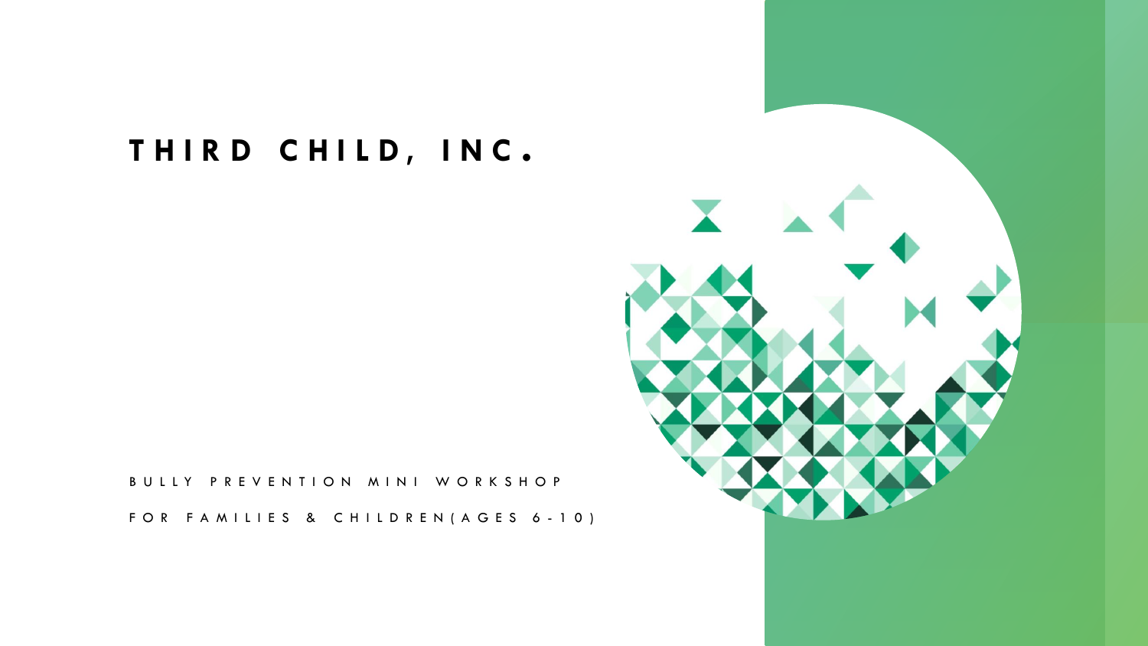### **T H I R D C H I L D , I N C .**

B U L L Y P R E V E N T I O N M I N I W O R K S H O P

FOR FAMILIES & CHILDREN (AGES 6-10)

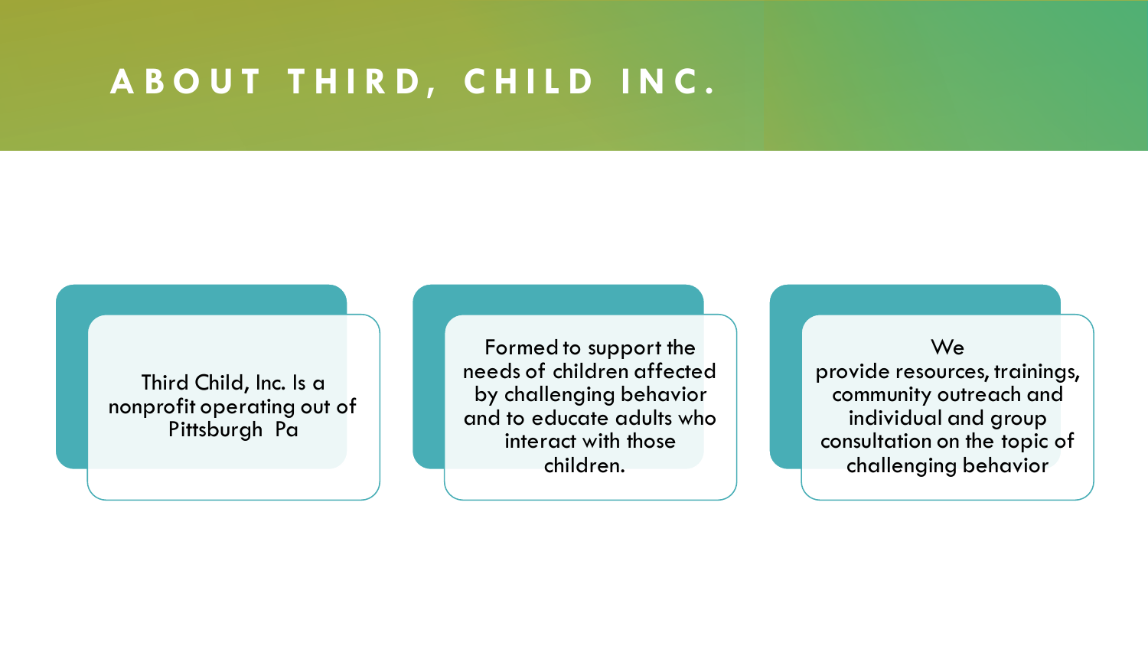### A B O U T T H I R D, C H I L D I N C.

Third Child, Inc. Is a nonprofit operating out of Pittsburgh Pa

Formed to support the needs of children affected by challenging behavior and to educate adults who interact with those children.

We provide resources, trainings, community outreach and individual and group consultation on the topic of challenging behavior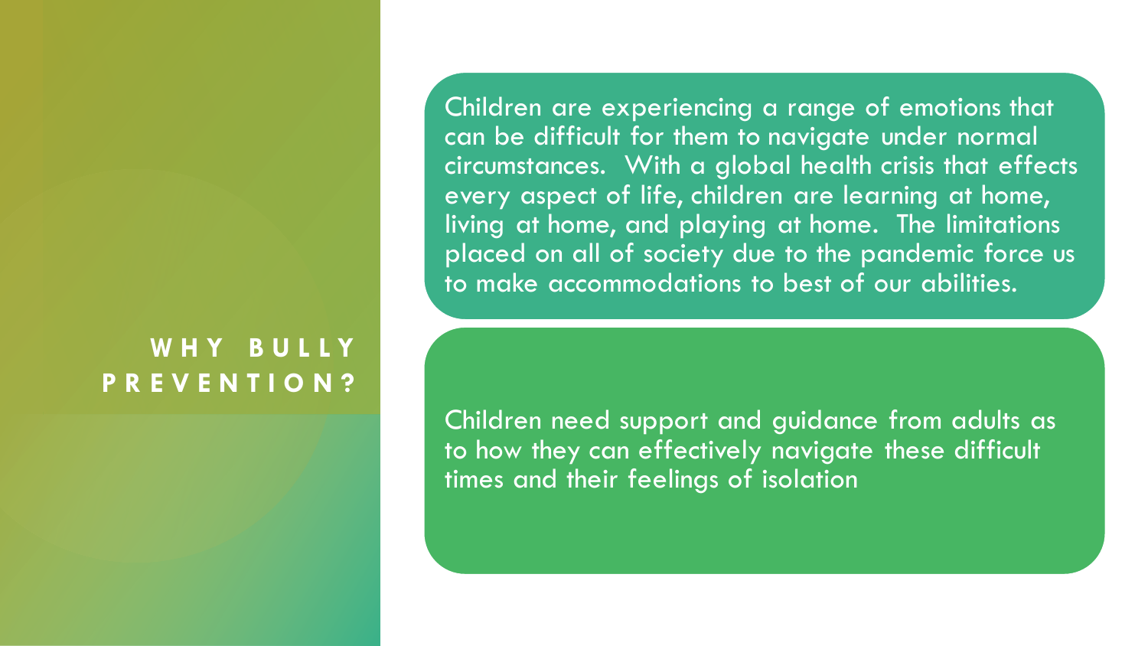### **W H Y B U L L Y P R E V E N T I O N ?**

Children are experiencing a range of emotions that can be difficult for them to navigate under normal circumstances. With a global health crisis that effects every aspect of life, children are learning at home, living at home, and playing at home. The limitations placed on all of society due to the pandemic force us to make accommodations to best of our abilities.

Children need support and guidance from adults as to how they can effectively navigate these difficult times and their feelings of isolation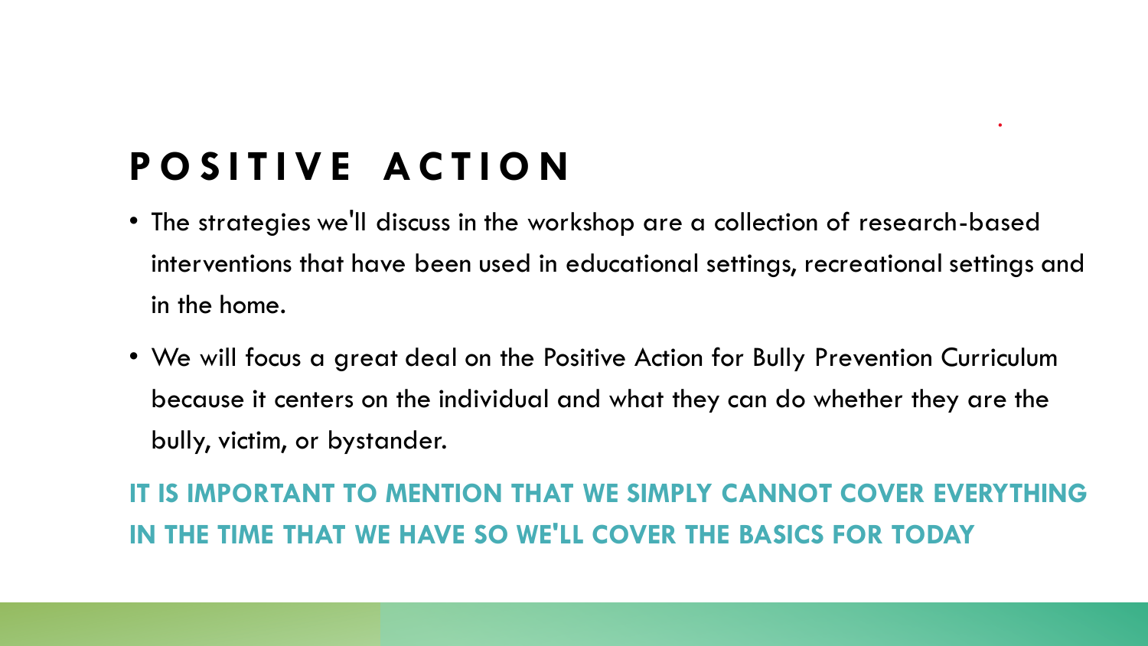# **P O S I T I V E A C T I O N**

- The strategies we'll discuss in the workshop are a collection of research-based interventions that have been used in educational settings, recreational settings and in the home.
- We will focus a great deal on the Positive Action for Bully Prevention Curriculum because it centers on the individual and what they can do whether they are the bully, victim, or bystander.

**IT IS IMPORTANT TO MENTION THAT WE SIMPLY CANNOT COVER EVERYTHING IN THE TIME THAT WE HAVE SO WE'LL COVER THE BASICS FOR TODAY**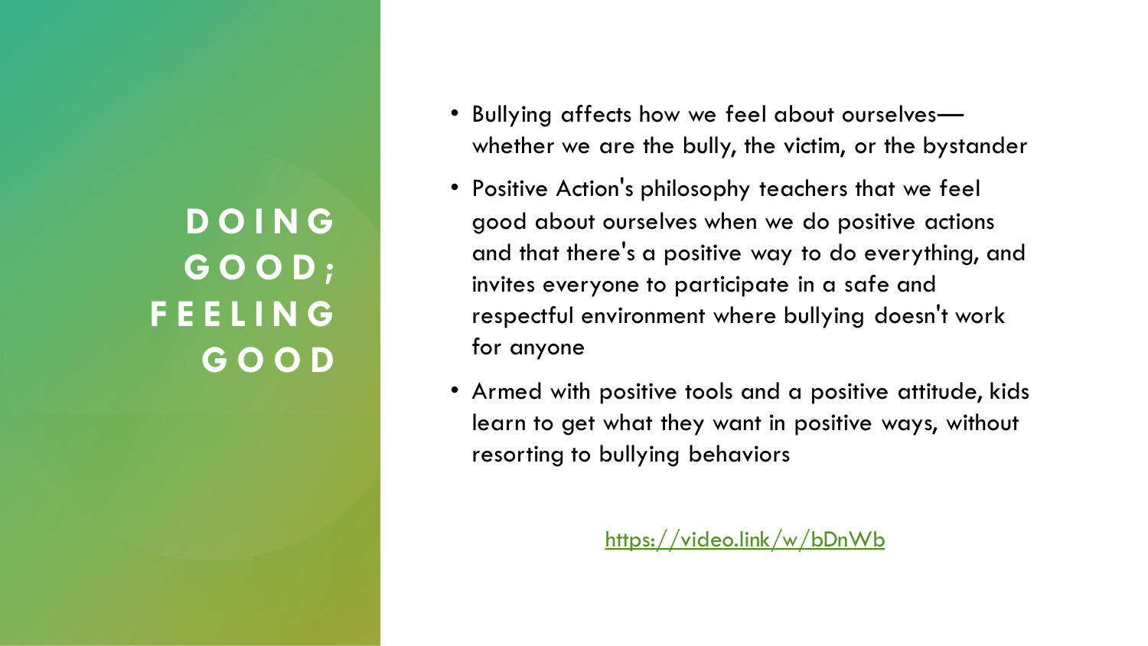**D O I N G G O O D ; F E E L I N G G O O D**

- Bullying affects how we feel about ourselves whether we are the bully, the victim, or the bystander
- Positive Action's philosophy teachers that we feel good about ourselves when we do positive actions and that there's a positive way to do everything, and invites everyone to participate in a safe and respectful environment where bullying doesn't work for anyone
- Armed with positive tools and a positive attitude, kids learn to get what they want in positive ways, without resorting to bullying behaviors

<https://video.link/w/bDnWb>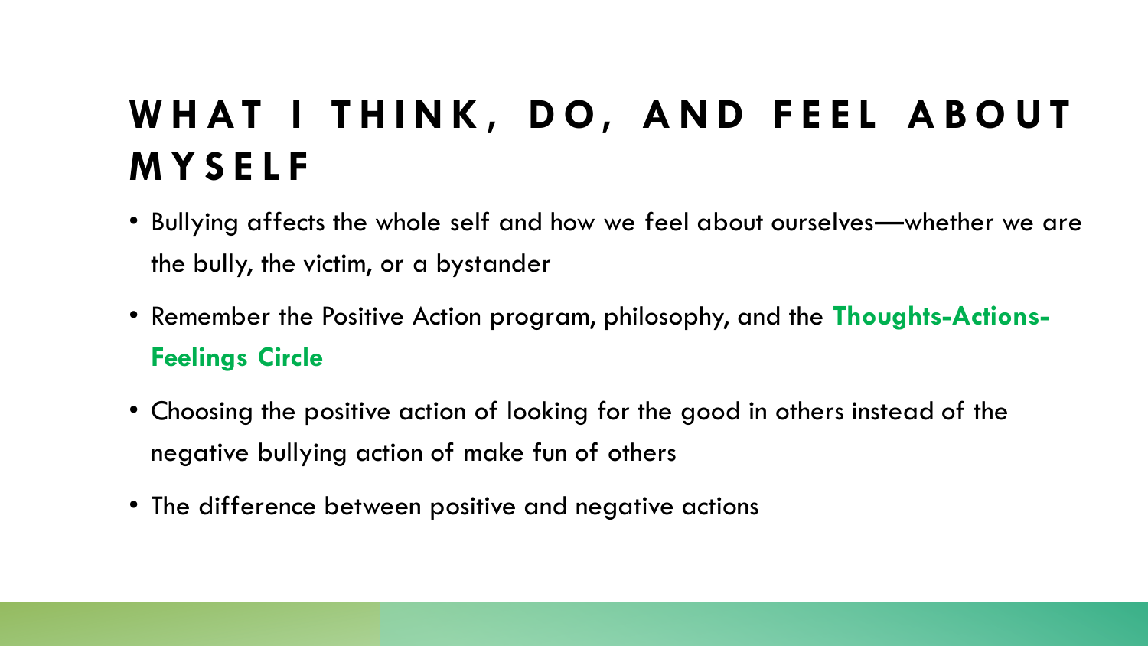# WHAT I THINK, DO, AND FEEL ABOUT **M Y S E L F**

- Bullying affects the whole self and how we feel about ourselves—whether we are the bully, the victim, or a bystander
- Remember the Positive Action program, philosophy, and the **Thoughts-Actions-Feelings Circle**
- Choosing the positive action of looking for the good in others instead of the negative bullying action of make fun of others
- The difference between positive and negative actions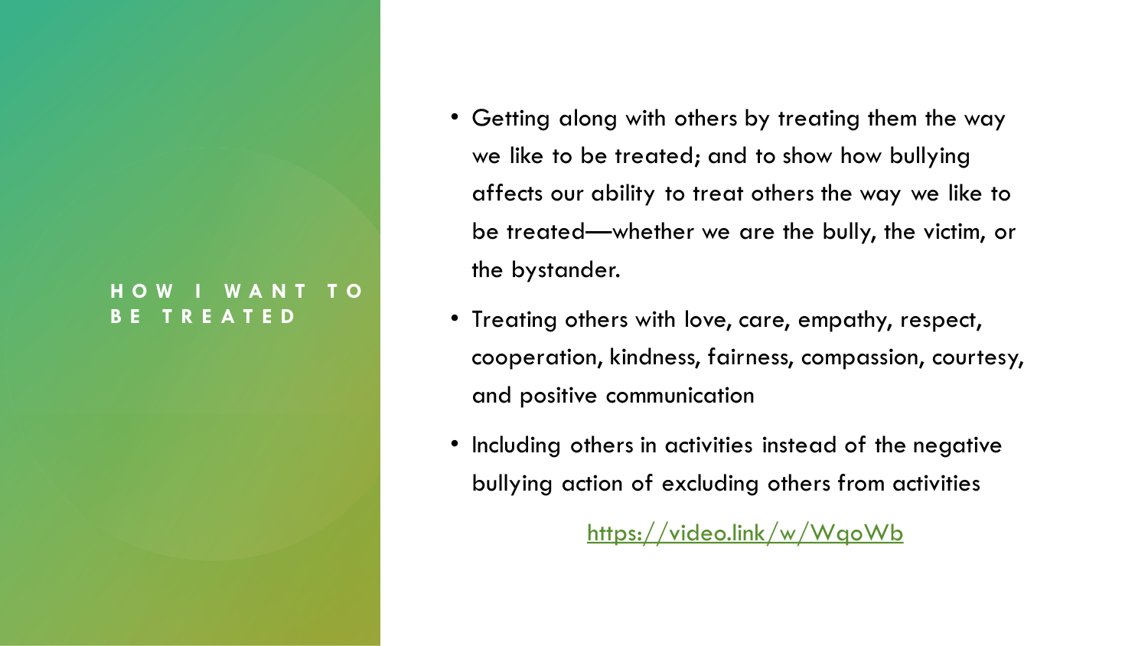#### **H O W I W A N T T O B E T R E A T E D**

- Getting along with others by treating them the way we like to be treated; and to show how bullying affects our ability to treat others the way we like to be treated—whether we are the bully, the victim, or the bystander.
- Treating others with love, care, empathy, respect, cooperation, kindness, fairness, compassion, courtesy, and positive communication
- Including others in activities instead of the negative bullying action of excluding others from activities

<https://video.link/w/WqoWb>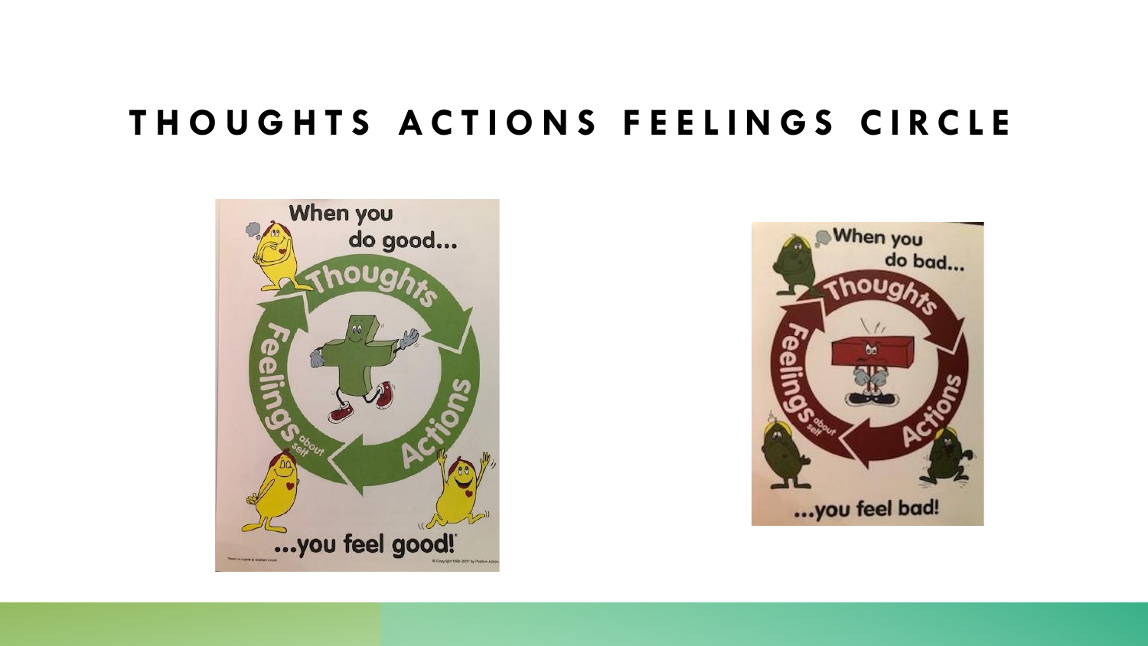### **T H O U G H T S A C T I O N S F E E L I N G S C I R C L E**



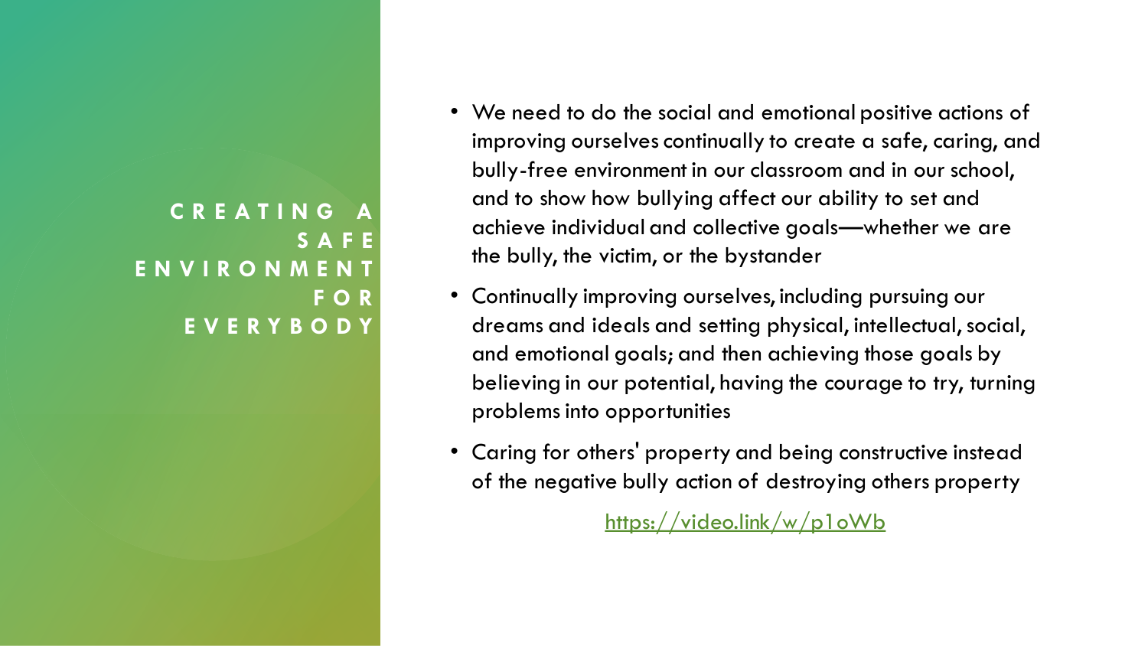#### **C R E A T I N G A S A F E E N V I R O N M E N T F O R E V E R Y B O D Y**

- We need to do the social and emotional positive actions of improving ourselves continually to create a safe, caring, and bully-free environment in our classroom and in our school, and to show how bullying affect our ability to set and achieve individual and collective goals—whether we are the bully, the victim, or the bystander
- Continually improving ourselves, including pursuing our dreams and ideals and setting physical, intellectual, social, and emotional goals; and then achieving those goals by believing in our potential, having the courage to try, turning problems into opportunities
- Caring for others' property and being constructive instead of the negative bully action of destroying others property

<https://video.link/w/p1oWb>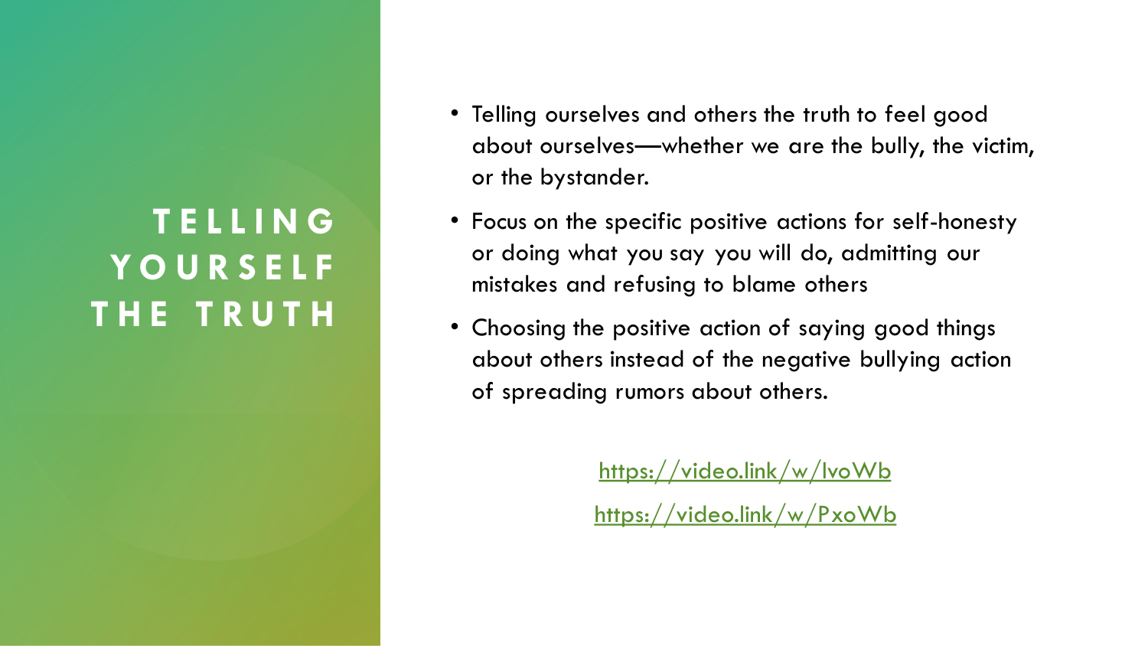### **T E L L I N G Y O U R S E L F T H E T R U T H**

- Telling ourselves and others the truth to feel good about ourselves—whether we are the bully, the victim, or the bystander.
- Focus on the specific positive actions for self-honesty or doing what you say you will do, admitting our mistakes and refusing to blame others
- Choosing the positive action of saying good things about others instead of the negative bullying action of spreading rumors about others.

<https://video.link/w/IvoWb>

<https://video.link/w/PxoWb>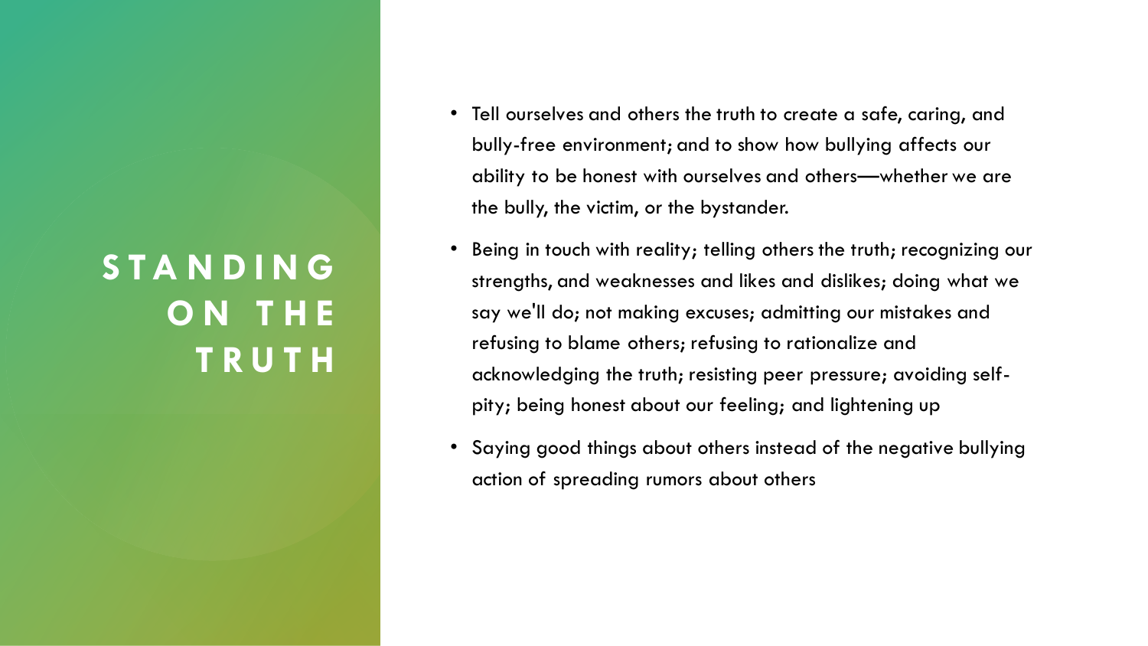### **S T A N D I N G O N T H E T R U T H**

- Tell ourselves and others the truth to create a safe, caring, and bully-free environment; and to show how bullying affects our ability to be honest with ourselves and others—whether we are the bully, the victim, or the bystander.
- Being in touch with reality; telling others the truth; recognizing our strengths, and weaknesses and likes and dislikes; doing what we say we'll do; not making excuses; admitting our mistakes and refusing to blame others; refusing to rationalize and acknowledging the truth; resisting peer pressure; avoiding selfpity; being honest about our feeling; and lightening up
- Saying good things about others instead of the negative bullying action of spreading rumors about others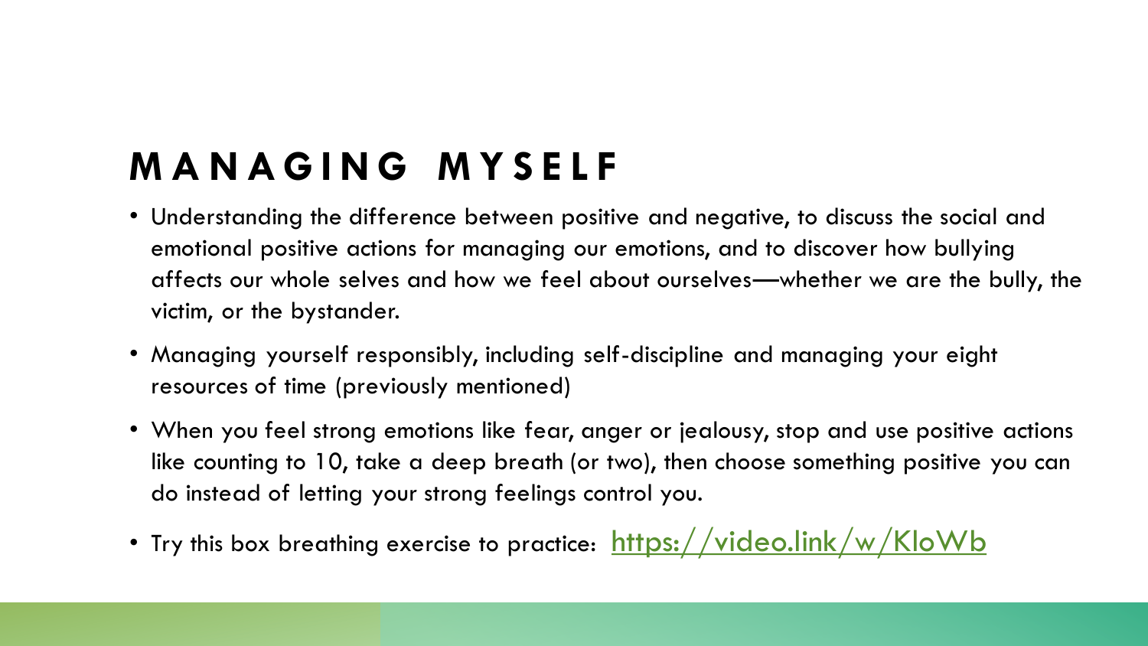# **M A N A G I N G M Y S E L F**

- Understanding the difference between positive and negative, to discuss the social and emotional positive actions for managing our emotions, and to discover how bullying affects our whole selves and how we feel about ourselves—whether we are the bully, the victim, or the bystander.
- Managing yourself responsibly, including self-discipline and managing your eight resources of time (previously mentioned)
- When you feel strong emotions like fear, anger or jealousy, stop and use positive actions like counting to 10, take a deep breath (or two), then choose something positive you can do instead of letting your strong feelings control you.
- Try this box breathing exercise to practice: <https://video.link/w/KloWb>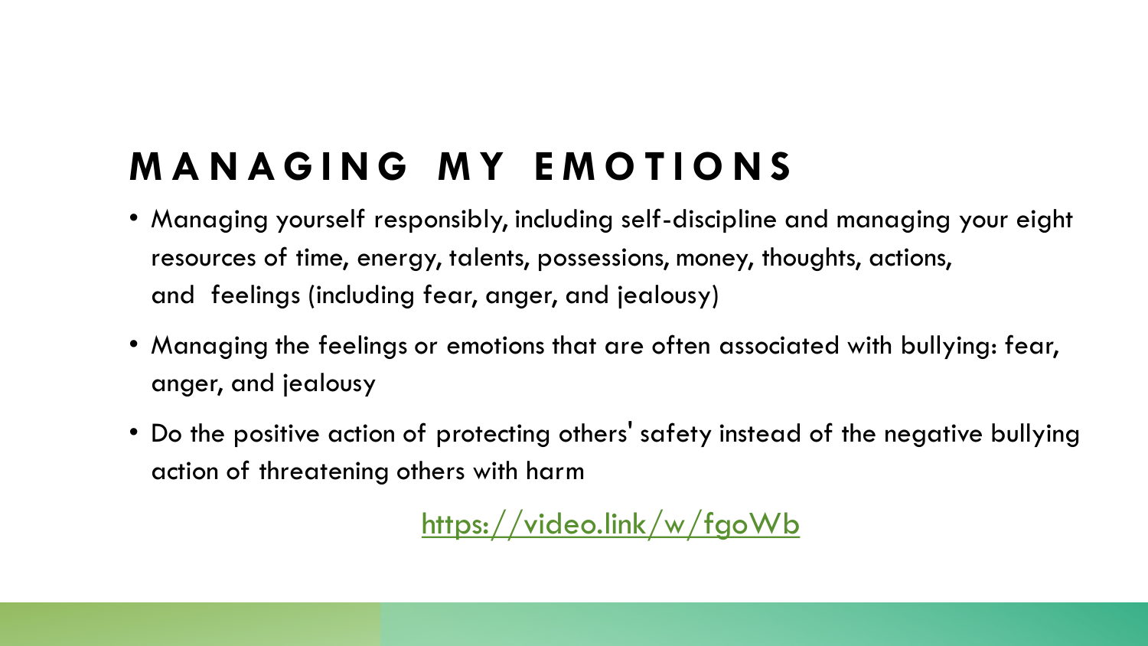# **M A N A G I N G M Y E M O T I O N S**

- Managing yourself responsibly, including self-discipline and managing your eight resources of time, energy, talents, possessions, money, thoughts, actions, and feelings (including fear, anger, and jealousy)
- Managing the feelings or emotions that are often associated with bullying: fear, anger, and jealousy
- Do the positive action of protecting others' safety instead of the negative bullying action of threatening others with harm

<https://video.link/w/fgoWb>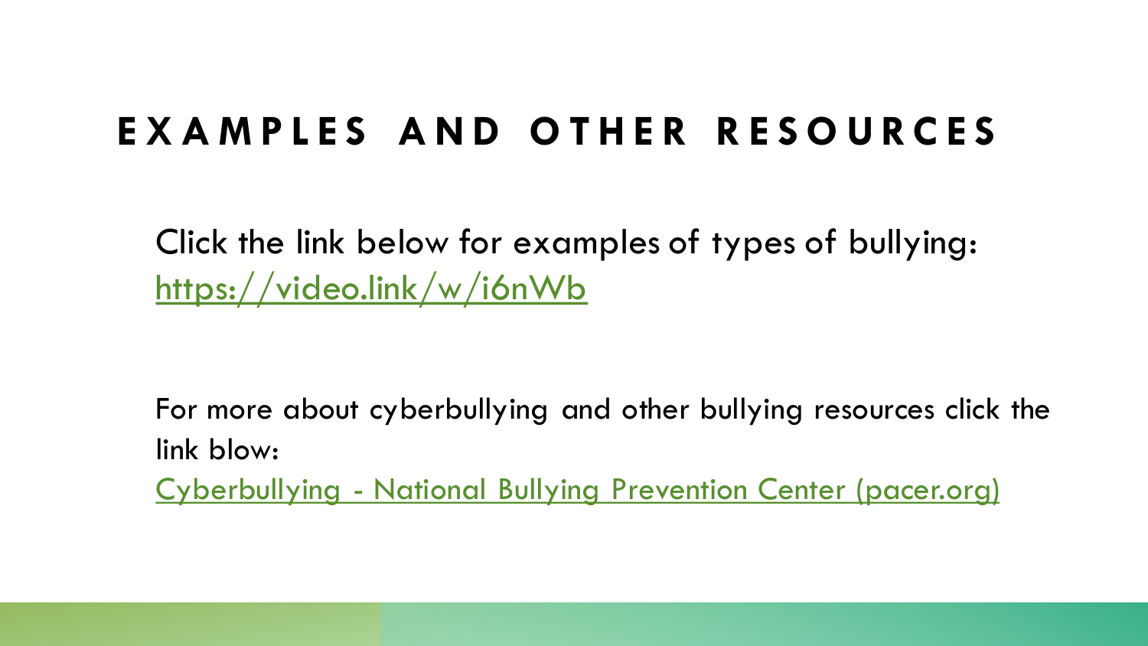## **E X A M P L E S A N D O T H E R R E S O U R C E S**

Click the link below for examples of types of bullying: <https://video.link/w/i6nWb>

For more about cyberbullying and other bullying resources click the link blow: Cyberbullying - [National Bullying Prevention Center \(pacer.org\)](https://www.pacer.org/bullying/info/cyberbullying/)